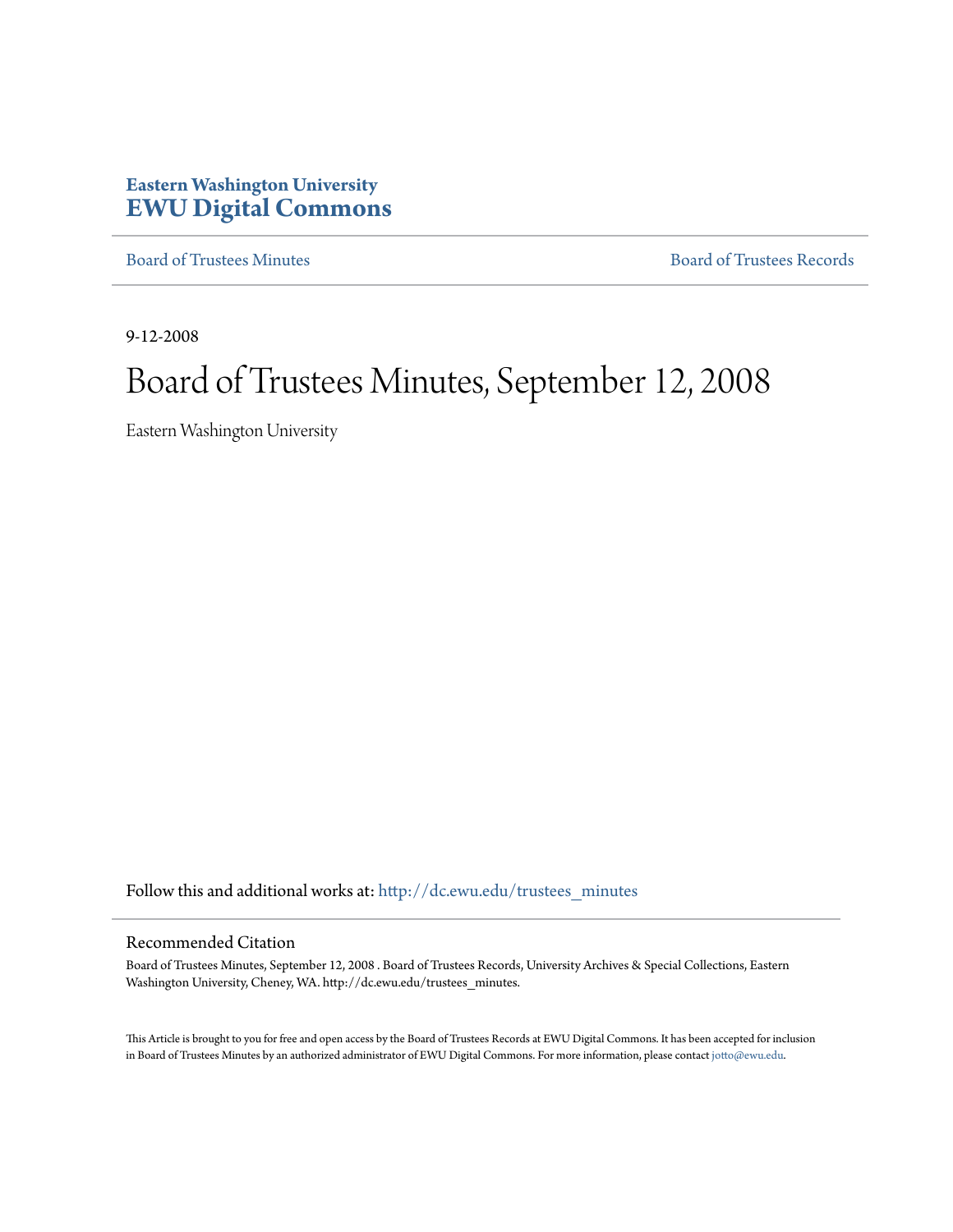# **Eastern Washington University [EWU Digital Commons](http://dc.ewu.edu?utm_source=dc.ewu.edu%2Ftrustees_minutes%2F634&utm_medium=PDF&utm_campaign=PDFCoverPages)**

[Board of Trustees Minutes](http://dc.ewu.edu/trustees_minutes?utm_source=dc.ewu.edu%2Ftrustees_minutes%2F634&utm_medium=PDF&utm_campaign=PDFCoverPages) [Board of Trustees Records](http://dc.ewu.edu/trustees?utm_source=dc.ewu.edu%2Ftrustees_minutes%2F634&utm_medium=PDF&utm_campaign=PDFCoverPages)

9-12-2008

# Board of Trustees Minutes, September 12, 2008

Eastern Washington University

Follow this and additional works at: [http://dc.ewu.edu/trustees\\_minutes](http://dc.ewu.edu/trustees_minutes?utm_source=dc.ewu.edu%2Ftrustees_minutes%2F634&utm_medium=PDF&utm_campaign=PDFCoverPages)

#### Recommended Citation

Board of Trustees Minutes, September 12, 2008 . Board of Trustees Records, University Archives & Special Collections, Eastern Washington University, Cheney, WA. http://dc.ewu.edu/trustees\_minutes.

This Article is brought to you for free and open access by the Board of Trustees Records at EWU Digital Commons. It has been accepted for inclusion in Board of Trustees Minutes by an authorized administrator of EWU Digital Commons. For more information, please contact [jotto@ewu.edu.](mailto:jotto@ewu.edu)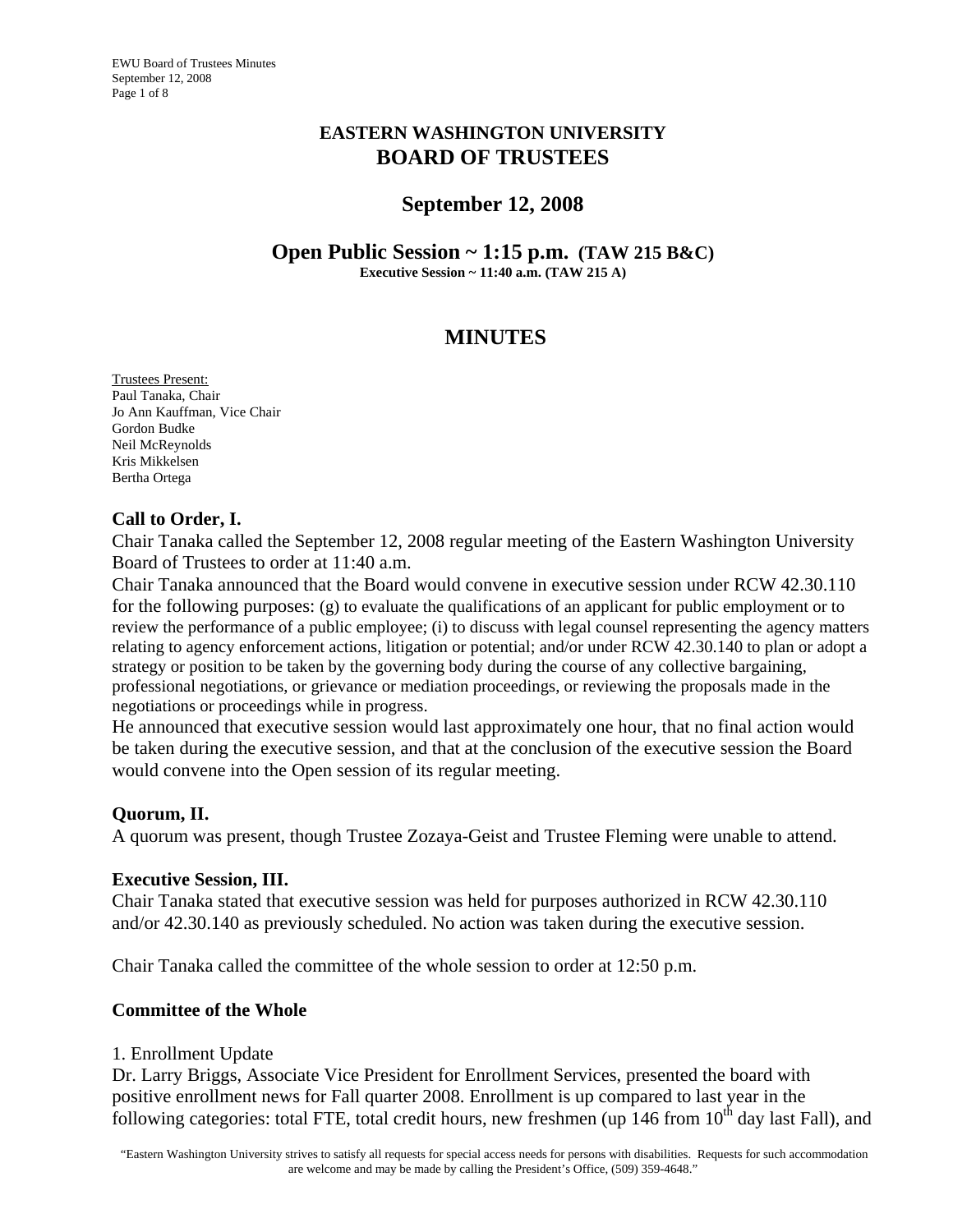# **EASTERN WASHINGTON UNIVERSITY BOARD OF TRUSTEES**

# **September 12, 2008**

**Open Public Session ~ 1:15 p.m. (TAW 215 B&C) Executive Session ~ 11:40 a.m. (TAW 215 A)** 

# **MINUTES**

Trustees Present: Paul Tanaka, Chair Jo Ann Kauffman, Vice Chair Gordon Budke Neil McReynolds Kris Mikkelsen Bertha Ortega

# **Call to Order, I.**

Chair Tanaka called the September 12, 2008 regular meeting of the Eastern Washington University Board of Trustees to order at 11:40 a.m.

Chair Tanaka announced that the Board would convene in executive session under RCW 42.30.110 for the following purposes: (g) to evaluate the qualifications of an applicant for public employment or to review the performance of a public employee; (i) to discuss with legal counsel representing the agency matters relating to agency enforcement actions, litigation or potential; and/or under RCW 42.30.140 to plan or adopt a strategy or position to be taken by the governing body during the course of any collective bargaining, professional negotiations, or grievance or mediation proceedings, or reviewing the proposals made in the negotiations or proceedings while in progress.

He announced that executive session would last approximately one hour, that no final action would be taken during the executive session, and that at the conclusion of the executive session the Board would convene into the Open session of its regular meeting.

# **Quorum, II.**

A quorum was present, though Trustee Zozaya-Geist and Trustee Fleming were unable to attend.

# **Executive Session, III.**

Chair Tanaka stated that executive session was held for purposes authorized in RCW 42.30.110 and/or 42.30.140 as previously scheduled. No action was taken during the executive session.

Chair Tanaka called the committee of the whole session to order at 12:50 p.m.

# **Committee of the Whole**

# 1. Enrollment Update

Dr. Larry Briggs, Associate Vice President for Enrollment Services, presented the board with positive enrollment news for Fall quarter 2008. Enrollment is up compared to last year in the following categories: total FTE, total credit hours, new freshmen (up  $146$  from  $10<sup>th</sup>$  day last Fall), and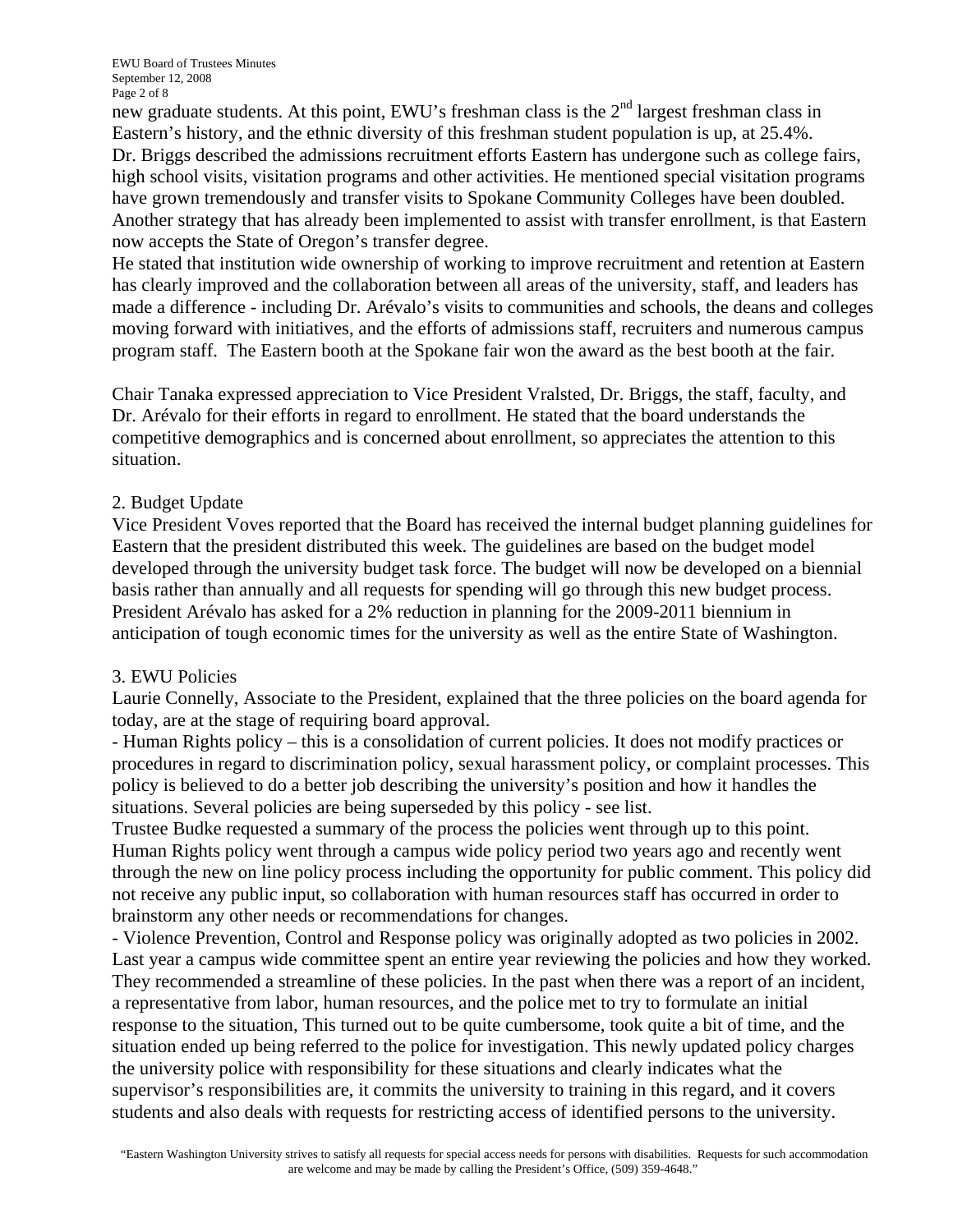new graduate students. At this point, EWU's freshman class is the 2<sup>nd</sup> largest freshman class in Eastern's history, and the ethnic diversity of this freshman student population is up, at 25.4%. Dr. Briggs described the admissions recruitment efforts Eastern has undergone such as college fairs, high school visits, visitation programs and other activities. He mentioned special visitation programs have grown tremendously and transfer visits to Spokane Community Colleges have been doubled. Another strategy that has already been implemented to assist with transfer enrollment, is that Eastern now accepts the State of Oregon's transfer degree.

He stated that institution wide ownership of working to improve recruitment and retention at Eastern has clearly improved and the collaboration between all areas of the university, staff, and leaders has made a difference - including Dr. Arévalo's visits to communities and schools, the deans and colleges moving forward with initiatives, and the efforts of admissions staff, recruiters and numerous campus program staff. The Eastern booth at the Spokane fair won the award as the best booth at the fair.

Chair Tanaka expressed appreciation to Vice President Vralsted, Dr. Briggs, the staff, faculty, and Dr. Arévalo for their efforts in regard to enrollment. He stated that the board understands the competitive demographics and is concerned about enrollment, so appreciates the attention to this situation.

#### 2. Budget Update

Vice President Voves reported that the Board has received the internal budget planning guidelines for Eastern that the president distributed this week. The guidelines are based on the budget model developed through the university budget task force. The budget will now be developed on a biennial basis rather than annually and all requests for spending will go through this new budget process. President Arévalo has asked for a 2% reduction in planning for the 2009-2011 biennium in anticipation of tough economic times for the university as well as the entire State of Washington.

# 3. EWU Policies

Laurie Connelly, Associate to the President, explained that the three policies on the board agenda for today, are at the stage of requiring board approval.

- Human Rights policy – this is a consolidation of current policies. It does not modify practices or procedures in regard to discrimination policy, sexual harassment policy, or complaint processes. This policy is believed to do a better job describing the university's position and how it handles the situations. Several policies are being superseded by this policy - see list.

Trustee Budke requested a summary of the process the policies went through up to this point. Human Rights policy went through a campus wide policy period two years ago and recently went through the new on line policy process including the opportunity for public comment. This policy did not receive any public input, so collaboration with human resources staff has occurred in order to brainstorm any other needs or recommendations for changes.

- Violence Prevention, Control and Response policy was originally adopted as two policies in 2002. Last year a campus wide committee spent an entire year reviewing the policies and how they worked. They recommended a streamline of these policies. In the past when there was a report of an incident, a representative from labor, human resources, and the police met to try to formulate an initial response to the situation, This turned out to be quite cumbersome, took quite a bit of time, and the situation ended up being referred to the police for investigation. This newly updated policy charges the university police with responsibility for these situations and clearly indicates what the supervisor's responsibilities are, it commits the university to training in this regard, and it covers students and also deals with requests for restricting access of identified persons to the university.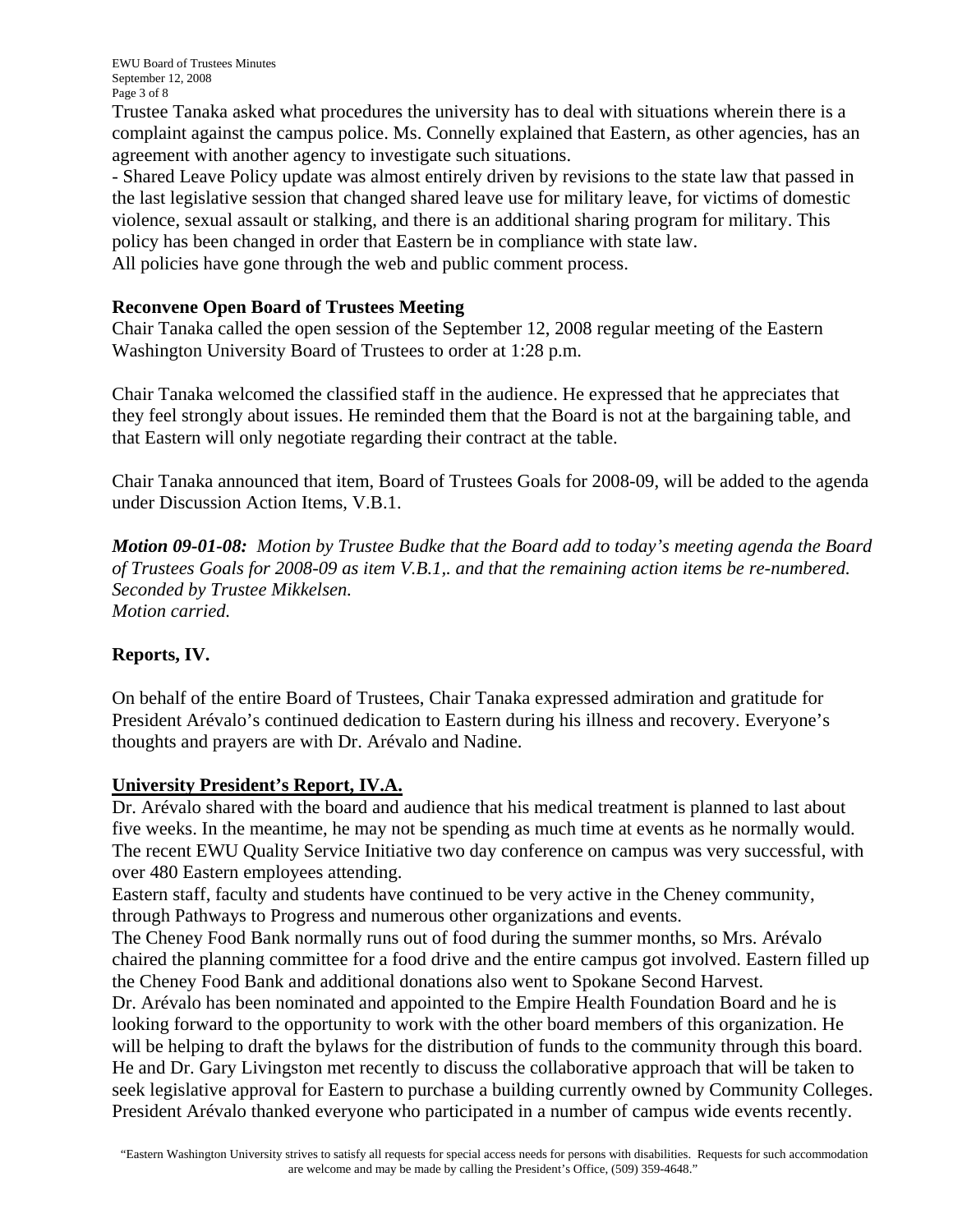Trustee Tanaka asked what procedures the university has to deal with situations wherein there is a complaint against the campus police. Ms. Connelly explained that Eastern, as other agencies, has an agreement with another agency to investigate such situations.

- Shared Leave Policy update was almost entirely driven by revisions to the state law that passed in the last legislative session that changed shared leave use for military leave, for victims of domestic violence, sexual assault or stalking, and there is an additional sharing program for military. This policy has been changed in order that Eastern be in compliance with state law. All policies have gone through the web and public comment process.

# **Reconvene Open Board of Trustees Meeting**

Chair Tanaka called the open session of the September 12, 2008 regular meeting of the Eastern Washington University Board of Trustees to order at 1:28 p.m.

Chair Tanaka welcomed the classified staff in the audience. He expressed that he appreciates that they feel strongly about issues. He reminded them that the Board is not at the bargaining table, and that Eastern will only negotiate regarding their contract at the table.

Chair Tanaka announced that item, Board of Trustees Goals for 2008-09, will be added to the agenda under Discussion Action Items, V.B.1.

*Motion 09-01-08: Motion by Trustee Budke that the Board add to today's meeting agenda the Board of Trustees Goals for 2008-09 as item V.B.1,. and that the remaining action items be re-numbered. Seconded by Trustee Mikkelsen. Motion carried.* 

# **Reports, IV.**

On behalf of the entire Board of Trustees, Chair Tanaka expressed admiration and gratitude for President Arévalo's continued dedication to Eastern during his illness and recovery. Everyone's thoughts and prayers are with Dr. Arévalo and Nadine.

# **University President's Report, IV.A.**

Dr. Arévalo shared with the board and audience that his medical treatment is planned to last about five weeks. In the meantime, he may not be spending as much time at events as he normally would. The recent EWU Quality Service Initiative two day conference on campus was very successful, with over 480 Eastern employees attending.

Eastern staff, faculty and students have continued to be very active in the Cheney community, through Pathways to Progress and numerous other organizations and events.

The Cheney Food Bank normally runs out of food during the summer months, so Mrs. Arévalo chaired the planning committee for a food drive and the entire campus got involved. Eastern filled up the Cheney Food Bank and additional donations also went to Spokane Second Harvest.

Dr. Arévalo has been nominated and appointed to the Empire Health Foundation Board and he is looking forward to the opportunity to work with the other board members of this organization. He will be helping to draft the bylaws for the distribution of funds to the community through this board. He and Dr. Gary Livingston met recently to discuss the collaborative approach that will be taken to seek legislative approval for Eastern to purchase a building currently owned by Community Colleges. President Arévalo thanked everyone who participated in a number of campus wide events recently.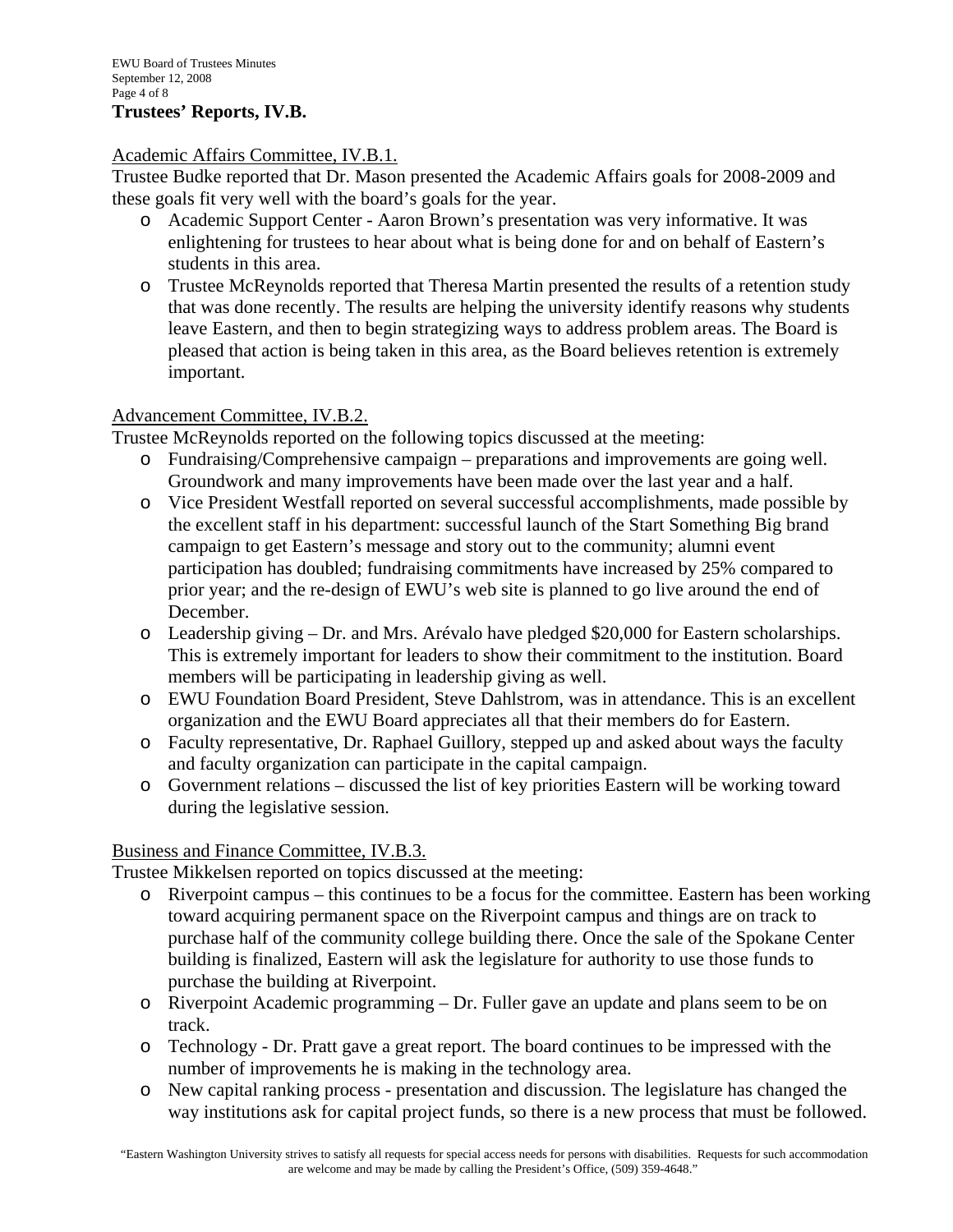# **Trustees' Reports, IV.B.**

# Academic Affairs Committee, IV.B.1.

Trustee Budke reported that Dr. Mason presented the Academic Affairs goals for 2008-2009 and these goals fit very well with the board's goals for the year.

- o Academic Support Center Aaron Brown's presentation was very informative. It was enlightening for trustees to hear about what is being done for and on behalf of Eastern's students in this area.
- o Trustee McReynolds reported that Theresa Martin presented the results of a retention study that was done recently. The results are helping the university identify reasons why students leave Eastern, and then to begin strategizing ways to address problem areas. The Board is pleased that action is being taken in this area, as the Board believes retention is extremely important.

#### Advancement Committee, IV.B.2.

Trustee McReynolds reported on the following topics discussed at the meeting:

- o Fundraising/Comprehensive campaign preparations and improvements are going well. Groundwork and many improvements have been made over the last year and a half.
- o Vice President Westfall reported on several successful accomplishments, made possible by the excellent staff in his department: successful launch of the Start Something Big brand campaign to get Eastern's message and story out to the community; alumni event participation has doubled; fundraising commitments have increased by 25% compared to prior year; and the re-design of EWU's web site is planned to go live around the end of December.
- o Leadership giving Dr. and Mrs. Arévalo have pledged \$20,000 for Eastern scholarships. This is extremely important for leaders to show their commitment to the institution. Board members will be participating in leadership giving as well.
- o EWU Foundation Board President, Steve Dahlstrom, was in attendance. This is an excellent organization and the EWU Board appreciates all that their members do for Eastern.
- o Faculty representative, Dr. Raphael Guillory, stepped up and asked about ways the faculty and faculty organization can participate in the capital campaign.
- o Government relations discussed the list of key priorities Eastern will be working toward during the legislative session.

# Business and Finance Committee, IV.B.3.

Trustee Mikkelsen reported on topics discussed at the meeting:

- o Riverpoint campus this continues to be a focus for the committee. Eastern has been working toward acquiring permanent space on the Riverpoint campus and things are on track to purchase half of the community college building there. Once the sale of the Spokane Center building is finalized, Eastern will ask the legislature for authority to use those funds to purchase the building at Riverpoint.
- o Riverpoint Academic programming Dr. Fuller gave an update and plans seem to be on track.
- o Technology Dr. Pratt gave a great report. The board continues to be impressed with the number of improvements he is making in the technology area.
- o New capital ranking process presentation and discussion. The legislature has changed the way institutions ask for capital project funds, so there is a new process that must be followed.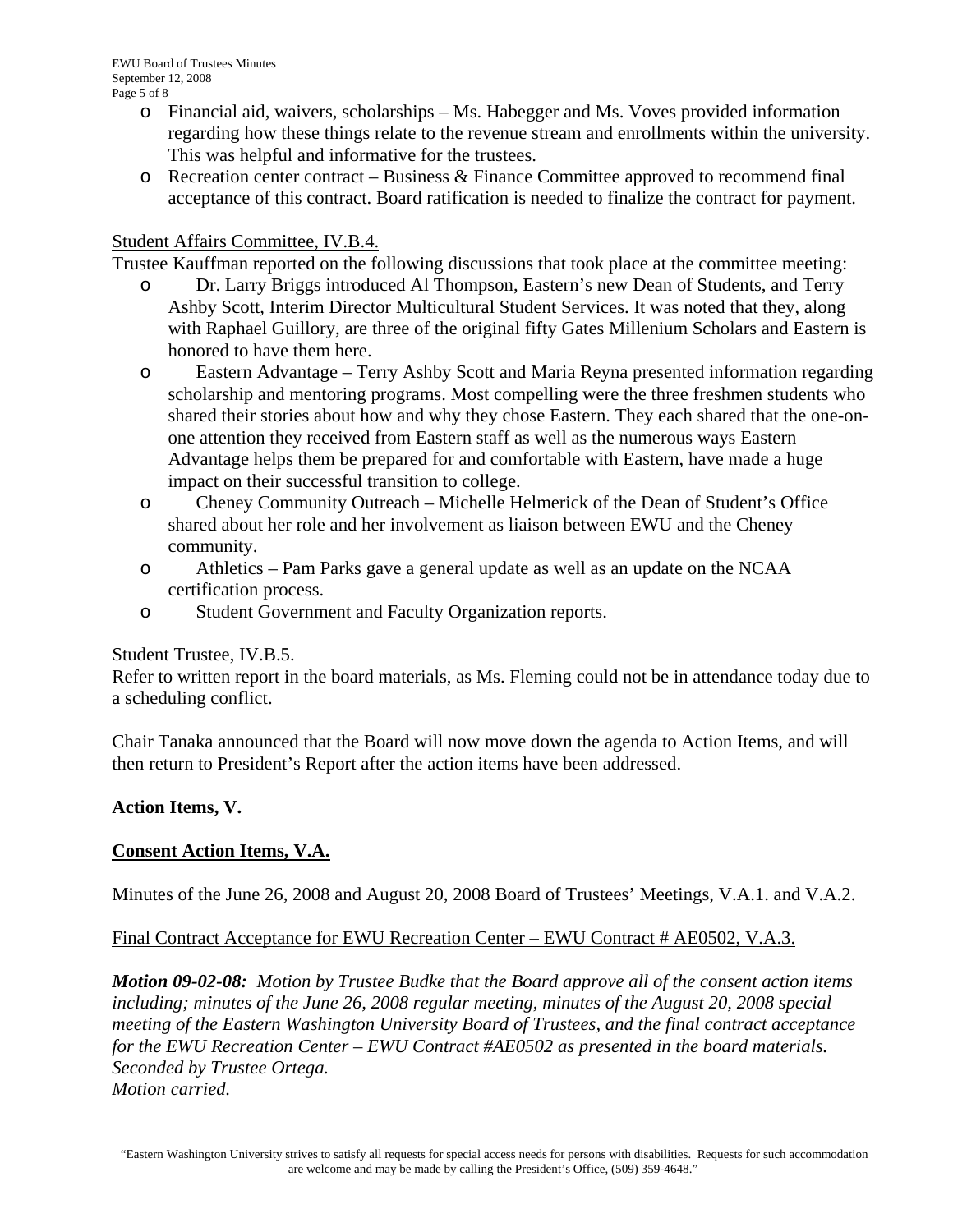- o Financial aid, waivers, scholarships Ms. Habegger and Ms. Voves provided information regarding how these things relate to the revenue stream and enrollments within the university. This was helpful and informative for the trustees.
- $\circ$  Recreation center contract Business & Finance Committee approved to recommend final acceptance of this contract. Board ratification is needed to finalize the contract for payment.

#### Student Affairs Committee, IV.B.4.

Trustee Kauffman reported on the following discussions that took place at the committee meeting:

- o Dr. Larry Briggs introduced Al Thompson, Eastern's new Dean of Students, and Terry Ashby Scott, Interim Director Multicultural Student Services. It was noted that they, along with Raphael Guillory, are three of the original fifty Gates Millenium Scholars and Eastern is honored to have them here.
- o Eastern Advantage Terry Ashby Scott and Maria Reyna presented information regarding scholarship and mentoring programs. Most compelling were the three freshmen students who shared their stories about how and why they chose Eastern. They each shared that the one-onone attention they received from Eastern staff as well as the numerous ways Eastern Advantage helps them be prepared for and comfortable with Eastern, have made a huge impact on their successful transition to college.
- o Cheney Community Outreach Michelle Helmerick of the Dean of Student's Office shared about her role and her involvement as liaison between EWU and the Cheney community.
- o Athletics Pam Parks gave a general update as well as an update on the NCAA certification process.
- o Student Government and Faculty Organization reports.

#### Student Trustee, IV.B.5.

Refer to written report in the board materials, as Ms. Fleming could not be in attendance today due to a scheduling conflict.

Chair Tanaka announced that the Board will now move down the agenda to Action Items, and will then return to President's Report after the action items have been addressed.

#### **Action Items, V.**

# **Consent Action Items, V.A.**

Minutes of the June 26, 2008 and August 20, 2008 Board of Trustees' Meetings, V.A.1. and V.A.2.

Final Contract Acceptance for EWU Recreation Center – EWU Contract # AE0502, V.A.3.

*Motion 09-02-08: Motion by Trustee Budke that the Board approve all of the consent action items including; minutes of the June 26, 2008 regular meeting, minutes of the August 20, 2008 special meeting of the Eastern Washington University Board of Trustees, and the final contract acceptance for the EWU Recreation Center – EWU Contract #AE0502 as presented in the board materials. Seconded by Trustee Ortega. Motion carried.*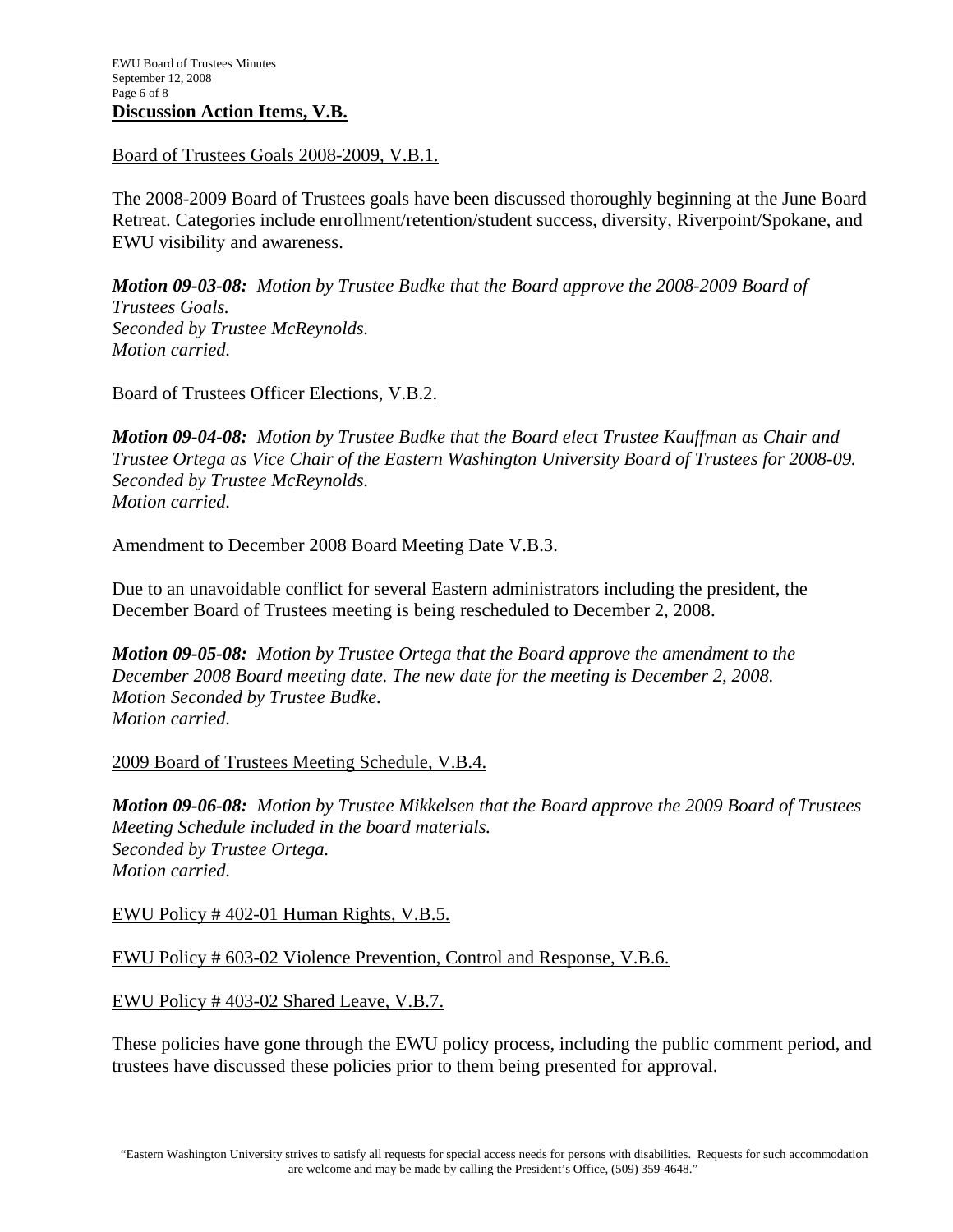#### Board of Trustees Goals 2008-2009, V.B.1.

The 2008-2009 Board of Trustees goals have been discussed thoroughly beginning at the June Board Retreat. Categories include enrollment/retention/student success, diversity, Riverpoint/Spokane, and EWU visibility and awareness.

*Motion 09-03-08: Motion by Trustee Budke that the Board approve the 2008-2009 Board of Trustees Goals. Seconded by Trustee McReynolds. Motion carried.* 

#### Board of Trustees Officer Elections, V.B.2.

*Motion 09-04-08: Motion by Trustee Budke that the Board elect Trustee Kauffman as Chair and Trustee Ortega as Vice Chair of the Eastern Washington University Board of Trustees for 2008-09. Seconded by Trustee McReynolds. Motion carried.* 

#### Amendment to December 2008 Board Meeting Date V.B.3.

Due to an unavoidable conflict for several Eastern administrators including the president, the December Board of Trustees meeting is being rescheduled to December 2, 2008.

*Motion 09-05-08: Motion by Trustee Ortega that the Board approve the amendment to the December 2008 Board meeting date. The new date for the meeting is December 2, 2008. Motion Seconded by Trustee Budke. Motion carried.* 

#### 2009 Board of Trustees Meeting Schedule, V.B.4.

*Motion 09-06-08: Motion by Trustee Mikkelsen that the Board approve the 2009 Board of Trustees Meeting Schedule included in the board materials. Seconded by Trustee Ortega. Motion carried.* 

#### EWU Policy # 402-01 Human Rights, V.B.5.

#### EWU Policy # 603-02 Violence Prevention, Control and Response, V.B.6.

#### EWU Policy # 403-02 Shared Leave, V.B.7.

These policies have gone through the EWU policy process, including the public comment period, and trustees have discussed these policies prior to them being presented for approval.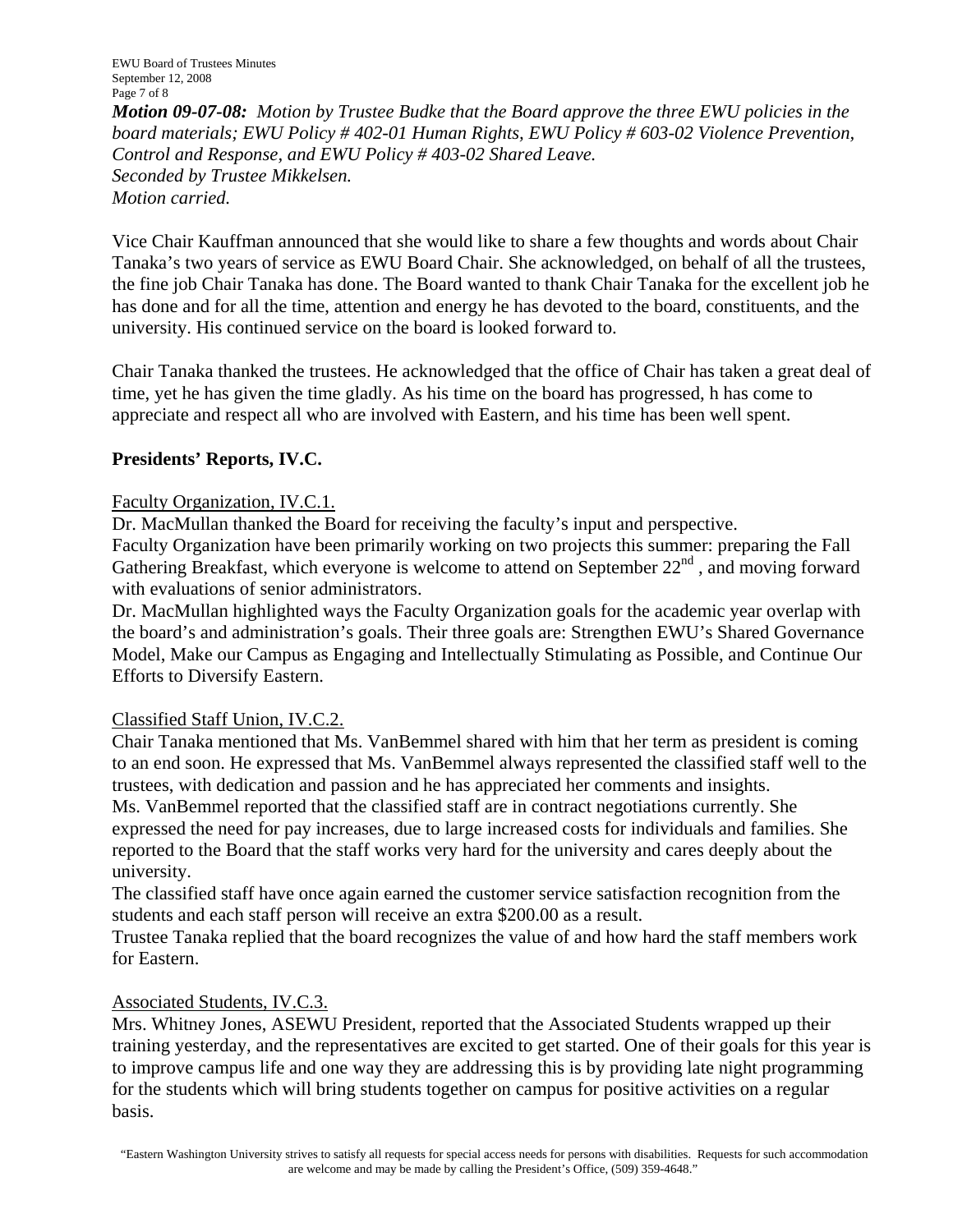EWU Board of Trustees Minutes September 12, 2008 Page 7 of 8

*Motion 09-07-08: Motion by Trustee Budke that the Board approve the three EWU policies in the board materials; EWU Policy # 402-01 Human Rights, EWU Policy # 603-02 Violence Prevention, Control and Response, and EWU Policy # 403-02 Shared Leave. Seconded by Trustee Mikkelsen. Motion carried.* 

Vice Chair Kauffman announced that she would like to share a few thoughts and words about Chair Tanaka's two years of service as EWU Board Chair. She acknowledged, on behalf of all the trustees, the fine job Chair Tanaka has done. The Board wanted to thank Chair Tanaka for the excellent job he has done and for all the time, attention and energy he has devoted to the board, constituents, and the university. His continued service on the board is looked forward to.

Chair Tanaka thanked the trustees. He acknowledged that the office of Chair has taken a great deal of time, yet he has given the time gladly. As his time on the board has progressed, h has come to appreciate and respect all who are involved with Eastern, and his time has been well spent.

# **Presidents' Reports, IV.C.**

# Faculty Organization, IV.C.1.

Dr. MacMullan thanked the Board for receiving the faculty's input and perspective.

Faculty Organization have been primarily working on two projects this summer: preparing the Fall Gathering Breakfast, which everyone is welcome to attend on September  $22<sup>nd</sup>$ , and moving forward with evaluations of senior administrators.

Dr. MacMullan highlighted ways the Faculty Organization goals for the academic year overlap with the board's and administration's goals. Their three goals are: Strengthen EWU's Shared Governance Model, Make our Campus as Engaging and Intellectually Stimulating as Possible, and Continue Our Efforts to Diversify Eastern.

# Classified Staff Union, IV.C.2.

Chair Tanaka mentioned that Ms. VanBemmel shared with him that her term as president is coming to an end soon. He expressed that Ms. VanBemmel always represented the classified staff well to the trustees, with dedication and passion and he has appreciated her comments and insights.

Ms. VanBemmel reported that the classified staff are in contract negotiations currently. She expressed the need for pay increases, due to large increased costs for individuals and families. She reported to the Board that the staff works very hard for the university and cares deeply about the university.

The classified staff have once again earned the customer service satisfaction recognition from the students and each staff person will receive an extra \$200.00 as a result.

Trustee Tanaka replied that the board recognizes the value of and how hard the staff members work for Eastern.

# Associated Students, IV.C.3.

Mrs. Whitney Jones, ASEWU President, reported that the Associated Students wrapped up their training yesterday, and the representatives are excited to get started. One of their goals for this year is to improve campus life and one way they are addressing this is by providing late night programming for the students which will bring students together on campus for positive activities on a regular basis.